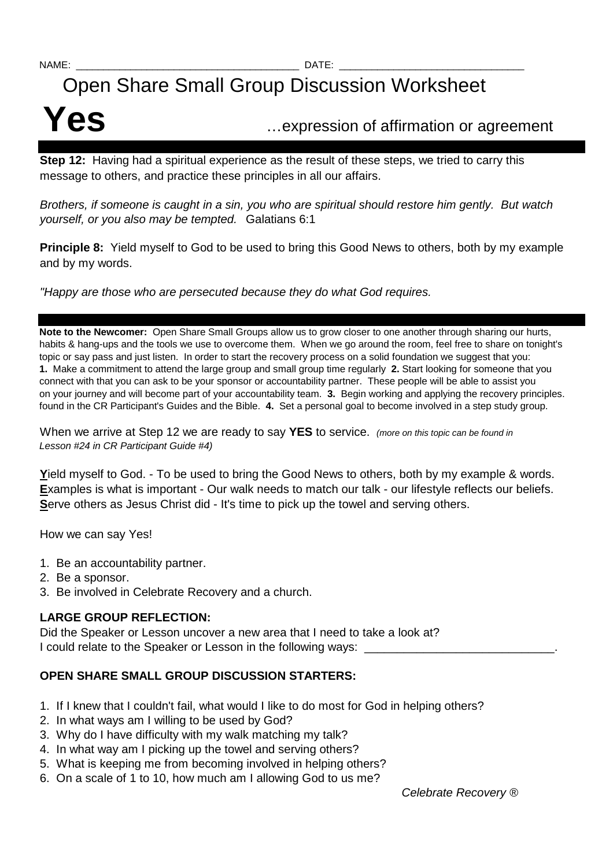# Open Share Small Group Discussion Worksheet

# **Yes** …expression of affirmation or agreement

**Step 12:** Having had a spiritual experience as the result of these steps, we tried to carry this message to others, and practice these principles in all our affairs.

Brothers, if someone is caught in a sin, you who are spiritual should restore him gently. But watch yourself, or you also may be tempted. Galatians 6:1

**Principle 8:** Yield myself to God to be used to bring this Good News to others, both by my example and by my words.

"Happy are those who are persecuted because they do what God requires.

**Note to the Newcomer:** Open Share Small Groups allow us to grow closer to one another through sharing our hurts, habits & hang-ups and the tools we use to overcome them. When we go around the room, feel free to share on tonight's topic or say pass and just listen. In order to start the recovery process on a solid foundation we suggest that you: **1.** Make a commitment to attend the large group and small group time regularly **2.** Start looking for someone that you connect with that you can ask to be your sponsor or accountability partner. These people will be able to assist you on your journey and will become part of your accountability team. **3.** Begin working and applying the recovery principles. found in the CR Participant's Guides and the Bible. **4.** Set a personal goal to become involved in a step study group.

When we arrive at Step 12 we are ready to say YES to service. (more on this topic can be found in Lesson #24 in CR Participant Guide #4)

**Y**ield myself to God. - To be used to bring the Good News to others, both by my example & words. **E**xamples is what is important - Our walk needs to match our talk - our lifestyle reflects our beliefs. **S**erve others as Jesus Christ did - It's time to pick up the towel and serving others.

How we can say Yes!

- 1. Be an accountability partner.
- 2. Be a sponsor.
- 3. Be involved in Celebrate Recovery and a church.

### **LARGE GROUP REFLECTION:**

Did the Speaker or Lesson uncover a new area that I need to take a look at? I could relate to the Speaker or Lesson in the following ways:

## **OPEN SHARE SMALL GROUP DISCUSSION STARTERS:**

- 1. If I knew that I couldn't fail, what would I like to do most for God in helping others?
- 2. In what ways am I willing to be used by God?
- 3. Why do I have difficulty with my walk matching my talk?
- 4. In what way am I picking up the towel and serving others?
- 5. What is keeping me from becoming involved in helping others?
- 6. On a scale of 1 to 10, how much am I allowing God to us me?

Celebrate Recovery ®